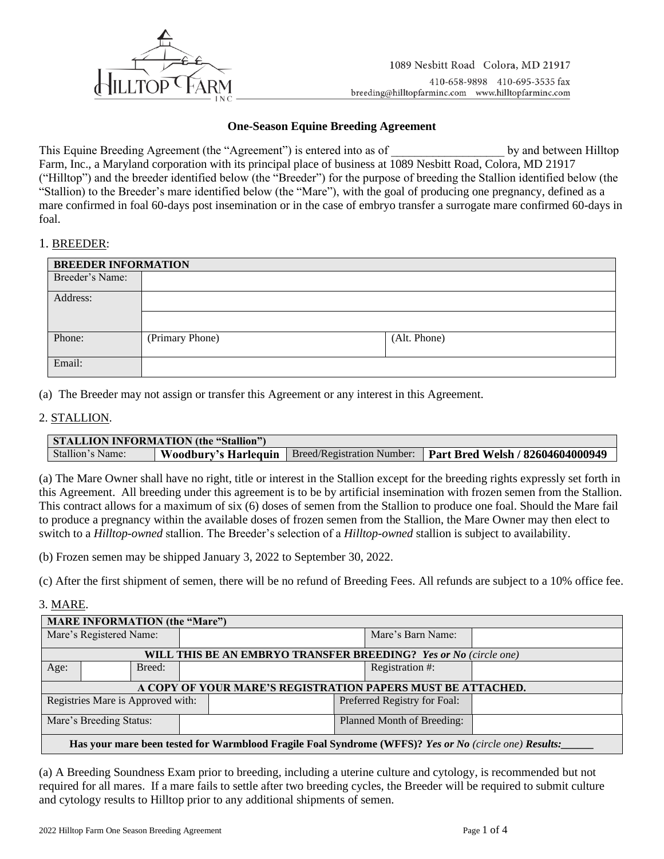

## **One-Season Equine Breeding Agreement**

This Equine Breeding Agreement (the "Agreement") is entered into as of  $\qquad \qquad$  by and between Hilltop Farm, Inc., a Maryland corporation with its principal place of business at 1089 Nesbitt Road, Colora, MD 21917 ("Hilltop") and the breeder identified below (the "Breeder") for the purpose of breeding the Stallion identified below (the "Stallion) to the Breeder's mare identified below (the "Mare"), with the goal of producing one pregnancy, defined as a mare confirmed in foal 60-days post insemination or in the case of embryo transfer a surrogate mare confirmed 60-days in foal.

### 1. BREEDER:

| <b>BREEDER INFORMATION</b> |                 |              |  |
|----------------------------|-----------------|--------------|--|
| Breeder's Name:            |                 |              |  |
| Address:                   |                 |              |  |
|                            |                 |              |  |
| Phone:                     | (Primary Phone) | (Alt. Phone) |  |
| Email:                     |                 |              |  |

(a) The Breeder may not assign or transfer this Agreement or any interest in this Agreement.

## 2. STALLION.

| <b>STALLION INFORMATION (the "Stallion")</b> |  |  |                                                                                      |  |
|----------------------------------------------|--|--|--------------------------------------------------------------------------------------|--|
| Stallion's Name:                             |  |  | Woodbury's Harlequin   Breed/Registration Number:   Part Bred Welsh / 82604604000949 |  |

(a) The Mare Owner shall have no right, title or interest in the Stallion except for the breeding rights expressly set forth in this Agreement. All breeding under this agreement is to be by artificial insemination with frozen semen from the Stallion. This contract allows for a maximum of six (6) doses of semen from the Stallion to produce one foal. Should the Mare fail to produce a pregnancy within the available doses of frozen semen from the Stallion, the Mare Owner may then elect to switch to a *Hilltop-owned* stallion. The Breeder's selection of a *Hilltop-owned* stallion is subject to availability.

(b) Frozen semen may be shipped January 3, 2022 to September 30, 2022.

(c) After the first shipment of semen, there will be no refund of Breeding Fees. All refunds are subject to a 10% office fee.

### 3. MARE.

| <b>MARE INFORMATION (the "Mare")</b>                                                                  |  |                              |                   |  |                 |  |
|-------------------------------------------------------------------------------------------------------|--|------------------------------|-------------------|--|-----------------|--|
| Mare's Registered Name:                                                                               |  |                              | Mare's Barn Name: |  |                 |  |
|                                                                                                       |  |                              |                   |  |                 |  |
| <b>WILL THIS BE AN EMBRYO TRANSFER BREEDING?</b> Yes or No (circle one)                               |  |                              |                   |  |                 |  |
| Age:                                                                                                  |  | Breed:                       |                   |  | Registration #: |  |
|                                                                                                       |  |                              |                   |  |                 |  |
| A COPY OF YOUR MARE'S REGISTRATION PAPERS MUST BE ATTACHED.                                           |  |                              |                   |  |                 |  |
| Registries Mare is Approved with:                                                                     |  | Preferred Registry for Foal: |                   |  |                 |  |
|                                                                                                       |  |                              |                   |  |                 |  |
| Mare's Breeding Status:                                                                               |  | Planned Month of Breeding:   |                   |  |                 |  |
|                                                                                                       |  |                              |                   |  |                 |  |
| Has your mare been tested for Warmblood Fragile Foal Syndrome (WFFS)? Yes or No (circle one) Results: |  |                              |                   |  |                 |  |

(a) A Breeding Soundness Exam prior to breeding, including a uterine culture and cytology, is recommended but not required for all mares. If a mare fails to settle after two breeding cycles, the Breeder will be required to submit culture and cytology results to Hilltop prior to any additional shipments of semen.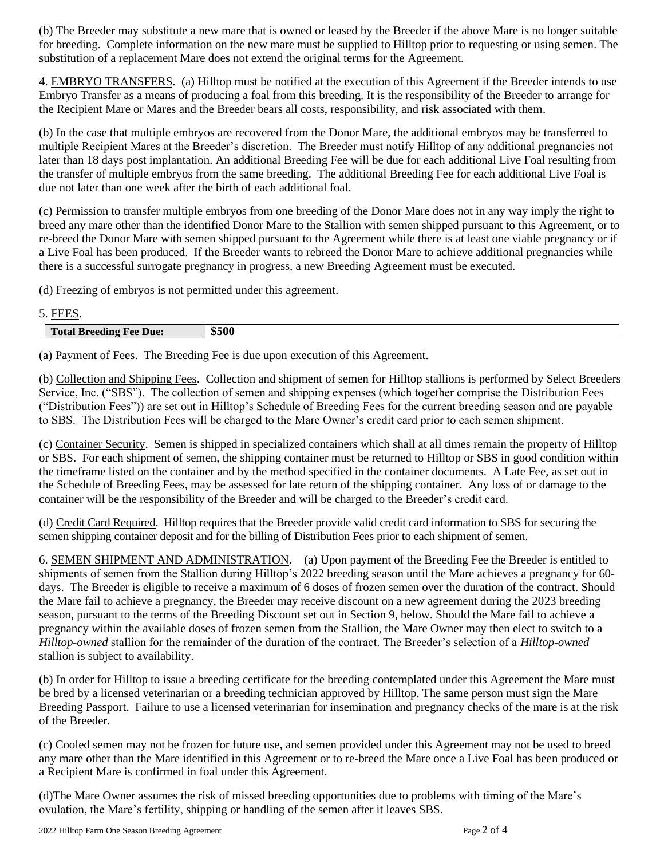(b) The Breeder may substitute a new mare that is owned or leased by the Breeder if the above Mare is no longer suitable for breeding. Complete information on the new mare must be supplied to Hilltop prior to requesting or using semen. The substitution of a replacement Mare does not extend the original terms for the Agreement.

4. EMBRYO TRANSFERS. (a) Hilltop must be notified at the execution of this Agreement if the Breeder intends to use Embryo Transfer as a means of producing a foal from this breeding. It is the responsibility of the Breeder to arrange for the Recipient Mare or Mares and the Breeder bears all costs, responsibility, and risk associated with them.

(b) In the case that multiple embryos are recovered from the Donor Mare, the additional embryos may be transferred to multiple Recipient Mares at the Breeder's discretion. The Breeder must notify Hilltop of any additional pregnancies not later than 18 days post implantation. An additional Breeding Fee will be due for each additional Live Foal resulting from the transfer of multiple embryos from the same breeding. The additional Breeding Fee for each additional Live Foal is due not later than one week after the birth of each additional foal.

(c) Permission to transfer multiple embryos from one breeding of the Donor Mare does not in any way imply the right to breed any mare other than the identified Donor Mare to the Stallion with semen shipped pursuant to this Agreement, or to re-breed the Donor Mare with semen shipped pursuant to the Agreement while there is at least one viable pregnancy or if a Live Foal has been produced. If the Breeder wants to rebreed the Donor Mare to achieve additional pregnancies while there is a successful surrogate pregnancy in progress, a new Breeding Agreement must be executed.

(d) Freezing of embryos is not permitted under this agreement.

# 5. FEES.

| $\mathbf{r}$<br><b>Total Breeding</b> $V$<br>Due:<br><b>H</b> ee | \$500 |
|------------------------------------------------------------------|-------|

(a) Payment of Fees. The Breeding Fee is due upon execution of this Agreement.

(b) Collection and Shipping Fees. Collection and shipment of semen for Hilltop stallions is performed by Select Breeders Service, Inc. ("SBS"). The collection of semen and shipping expenses (which together comprise the Distribution Fees ("Distribution Fees")) are set out in Hilltop's Schedule of Breeding Fees for the current breeding season and are payable to SBS. The Distribution Fees will be charged to the Mare Owner's credit card prior to each semen shipment.

(c) Container Security. Semen is shipped in specialized containers which shall at all times remain the property of Hilltop or SBS. For each shipment of semen, the shipping container must be returned to Hilltop or SBS in good condition within the timeframe listed on the container and by the method specified in the container documents. A Late Fee, as set out in the Schedule of Breeding Fees, may be assessed for late return of the shipping container. Any loss of or damage to the container will be the responsibility of the Breeder and will be charged to the Breeder's credit card.

(d) Credit Card Required. Hilltop requires that the Breeder provide valid credit card information to SBS for securing the semen shipping container deposit and for the billing of Distribution Fees prior to each shipment of semen.

6. SEMEN SHIPMENT AND ADMINISTRATION. (a) Upon payment of the Breeding Fee the Breeder is entitled to shipments of semen from the Stallion during Hilltop's 2022 breeding season until the Mare achieves a pregnancy for 60 days. The Breeder is eligible to receive a maximum of 6 doses of frozen semen over the duration of the contract. Should the Mare fail to achieve a pregnancy, the Breeder may receive discount on a new agreement during the 2023 breeding season, pursuant to the terms of the Breeding Discount set out in Section 9, below. Should the Mare fail to achieve a pregnancy within the available doses of frozen semen from the Stallion, the Mare Owner may then elect to switch to a *Hilltop-owned* stallion for the remainder of the duration of the contract. The Breeder's selection of a *Hilltop-owned* stallion is subject to availability.

(b) In order for Hilltop to issue a breeding certificate for the breeding contemplated under this Agreement the Mare must be bred by a licensed veterinarian or a breeding technician approved by Hilltop. The same person must sign the Mare Breeding Passport. Failure to use a licensed veterinarian for insemination and pregnancy checks of the mare is at the risk of the Breeder.

(c) Cooled semen may not be frozen for future use, and semen provided under this Agreement may not be used to breed any mare other than the Mare identified in this Agreement or to re-breed the Mare once a Live Foal has been produced or a Recipient Mare is confirmed in foal under this Agreement.

(d)The Mare Owner assumes the risk of missed breeding opportunities due to problems with timing of the Mare's ovulation, the Mare's fertility, shipping or handling of the semen after it leaves SBS.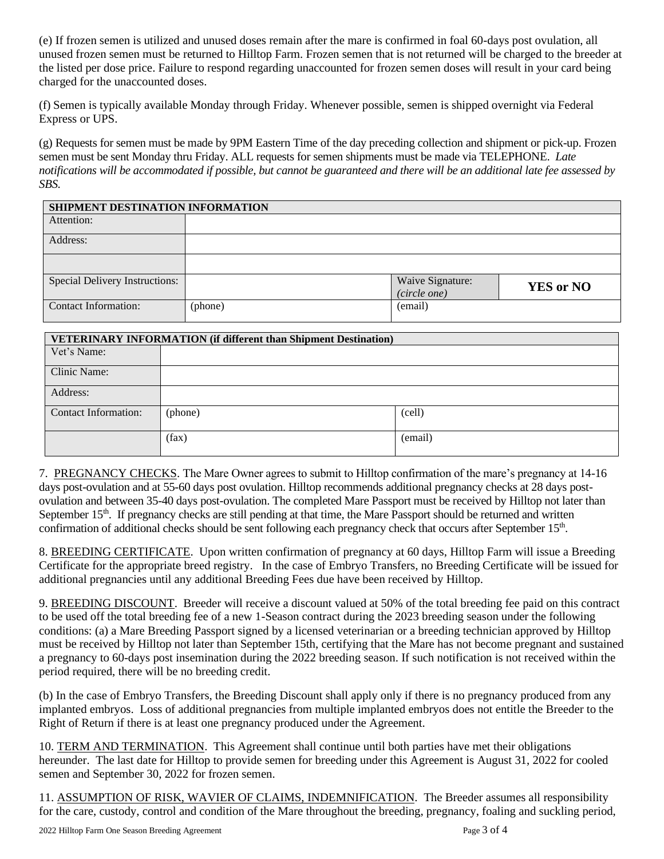(e) If frozen semen is utilized and unused doses remain after the mare is confirmed in foal 60-days post ovulation, all unused frozen semen must be returned to Hilltop Farm. Frozen semen that is not returned will be charged to the breeder at the listed per dose price. Failure to respond regarding unaccounted for frozen semen doses will result in your card being charged for the unaccounted doses.

(f) Semen is typically available Monday through Friday. Whenever possible, semen is shipped overnight via Federal Express or UPS.

(g) Requests for semen must be made by 9PM Eastern Time of the day preceding collection and shipment or pick-up. Frozen semen must be sent Monday thru Friday. ALL requests for semen shipments must be made via TELEPHONE. *Late notifications will be accommodated if possible, but cannot be guaranteed and there will be an additional late fee assessed by SBS.* 

| SHIPMENT DESTINATION INFORMATION      |         |                  |                  |  |
|---------------------------------------|---------|------------------|------------------|--|
| Attention:                            |         |                  |                  |  |
| Address:                              |         |                  |                  |  |
|                                       |         |                  |                  |  |
| <b>Special Delivery Instructions:</b> |         | Waive Signature: | <b>YES or NO</b> |  |
|                                       |         | (circle one)     |                  |  |
| <b>Contact Information:</b>           | (phone) | (email)          |                  |  |

| <b>VETERINARY INFORMATION (if different than Shipment Destination)</b> |         |         |
|------------------------------------------------------------------------|---------|---------|
| Vet's Name:                                                            |         |         |
| Clinic Name:                                                           |         |         |
| Address:                                                               |         |         |
| Contact Information:                                                   | (phone) | (cell)  |
|                                                                        | (fax)   | (email) |

7. PREGNANCY CHECKS. The Mare Owner agrees to submit to Hilltop confirmation of the mare's pregnancy at 14-16 days post-ovulation and at 55-60 days post ovulation. Hilltop recommends additional pregnancy checks at 28 days postovulation and between 35-40 days post-ovulation. The completed Mare Passport must be received by Hilltop not later than September  $15<sup>th</sup>$ . If pregnancy checks are still pending at that time, the Mare Passport should be returned and written confirmation of additional checks should be sent following each pregnancy check that occurs after September 15<sup>th</sup>.

8. BREEDING CERTIFICATE. Upon written confirmation of pregnancy at 60 days, Hilltop Farm will issue a Breeding Certificate for the appropriate breed registry. In the case of Embryo Transfers, no Breeding Certificate will be issued for additional pregnancies until any additional Breeding Fees due have been received by Hilltop.

9. BREEDING DISCOUNT. Breeder will receive a discount valued at 50% of the total breeding fee paid on this contract to be used off the total breeding fee of a new 1-Season contract during the 2023 breeding season under the following conditions: (a) a Mare Breeding Passport signed by a licensed veterinarian or a breeding technician approved by Hilltop must be received by Hilltop not later than September 15th, certifying that the Mare has not become pregnant and sustained a pregnancy to 60-days post insemination during the 2022 breeding season. If such notification is not received within the period required, there will be no breeding credit.

(b) In the case of Embryo Transfers, the Breeding Discount shall apply only if there is no pregnancy produced from any implanted embryos. Loss of additional pregnancies from multiple implanted embryos does not entitle the Breeder to the Right of Return if there is at least one pregnancy produced under the Agreement.

10. TERM AND TERMINATION. This Agreement shall continue until both parties have met their obligations hereunder. The last date for Hilltop to provide semen for breeding under this Agreement is August 31, 2022 for cooled semen and September 30, 2022 for frozen semen.

11. ASSUMPTION OF RISK, WAVIER OF CLAIMS, INDEMNIFICATION. The Breeder assumes all responsibility for the care, custody, control and condition of the Mare throughout the breeding, pregnancy, foaling and suckling period,